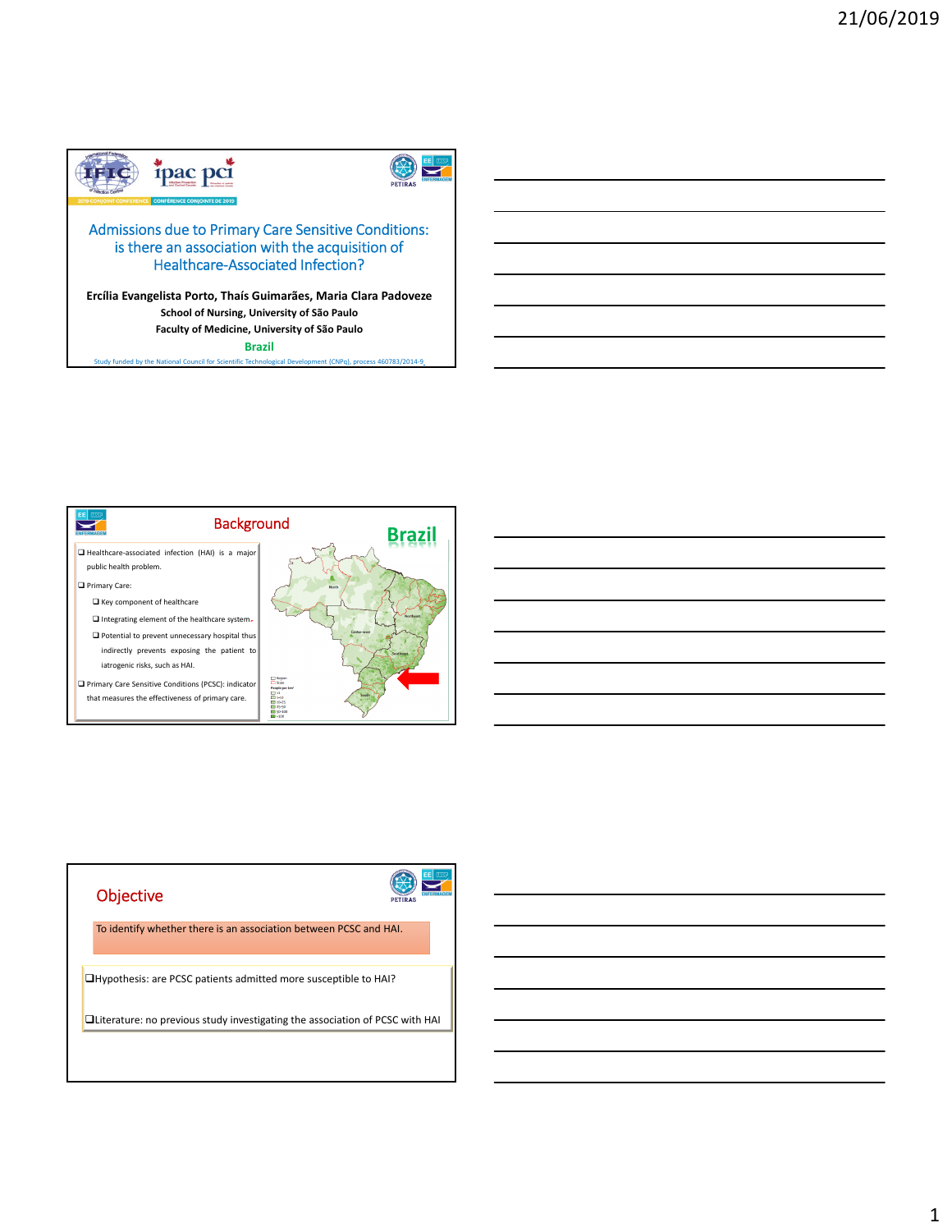



# Admissions due to Primary Care Sensitive Conditions: is there an association with the acquisition of Healthcare‐Associated Infection?

**Ercília Evangelista Porto, Thaís Guimarães, Maria Clara Padoveze School of Nursing, University of São Paulo Faculty of Medicine, University of São Paulo**

**Brazil**

cil for Scientific Technological Development (CNPq), process 460783/2014



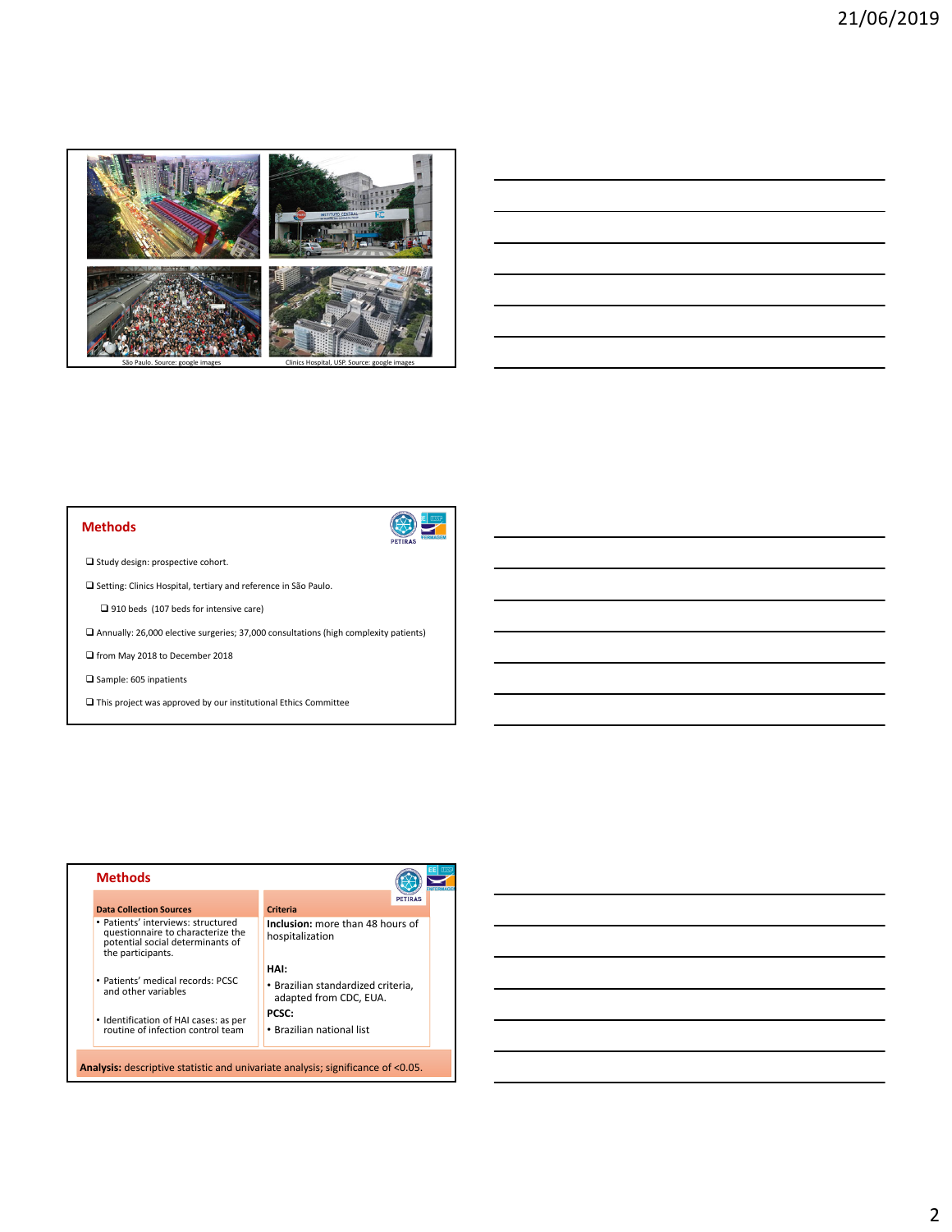

#### São Paulo. Source: google images Clinics Hospital, USP. Source: google images



**Methods**

 $\hfill\Box$  <br> Study design: prospective cohort.

 $\square$  Setting: Clinics Hospital, tertiary and reference in São Paulo.

1910 beds (107 beds for intensive care)

 $\square$  Annually: 26,000 elective surgeries; 37,000 consultations (high complexity patients)

 $\Box$  from May 2018 to December 2018

 $\square$  Sample: 605 inpatients

 $\Box$  This project was approved by our institutional Ethics Committee

|                                                                                                                                  | <b>PETIRAS</b>                                               |  |
|----------------------------------------------------------------------------------------------------------------------------------|--------------------------------------------------------------|--|
| <b>Data Collection Sources</b>                                                                                                   | Criteria                                                     |  |
| • Patients' interviews: structured<br>questionnaire to characterize the<br>potential social determinants of<br>the participants. | <b>Inclusion:</b> more than 48 hours of<br>hospitalization   |  |
|                                                                                                                                  | HAI:                                                         |  |
| • Patients' medical records: PCSC<br>and other variables                                                                         | • Brazilian standardized criteria,<br>adapted from CDC, EUA. |  |
| • Identification of HAI cases: as per                                                                                            | <b>PCSC:</b>                                                 |  |
| routine of infection control team                                                                                                | • Brazilian national list                                    |  |

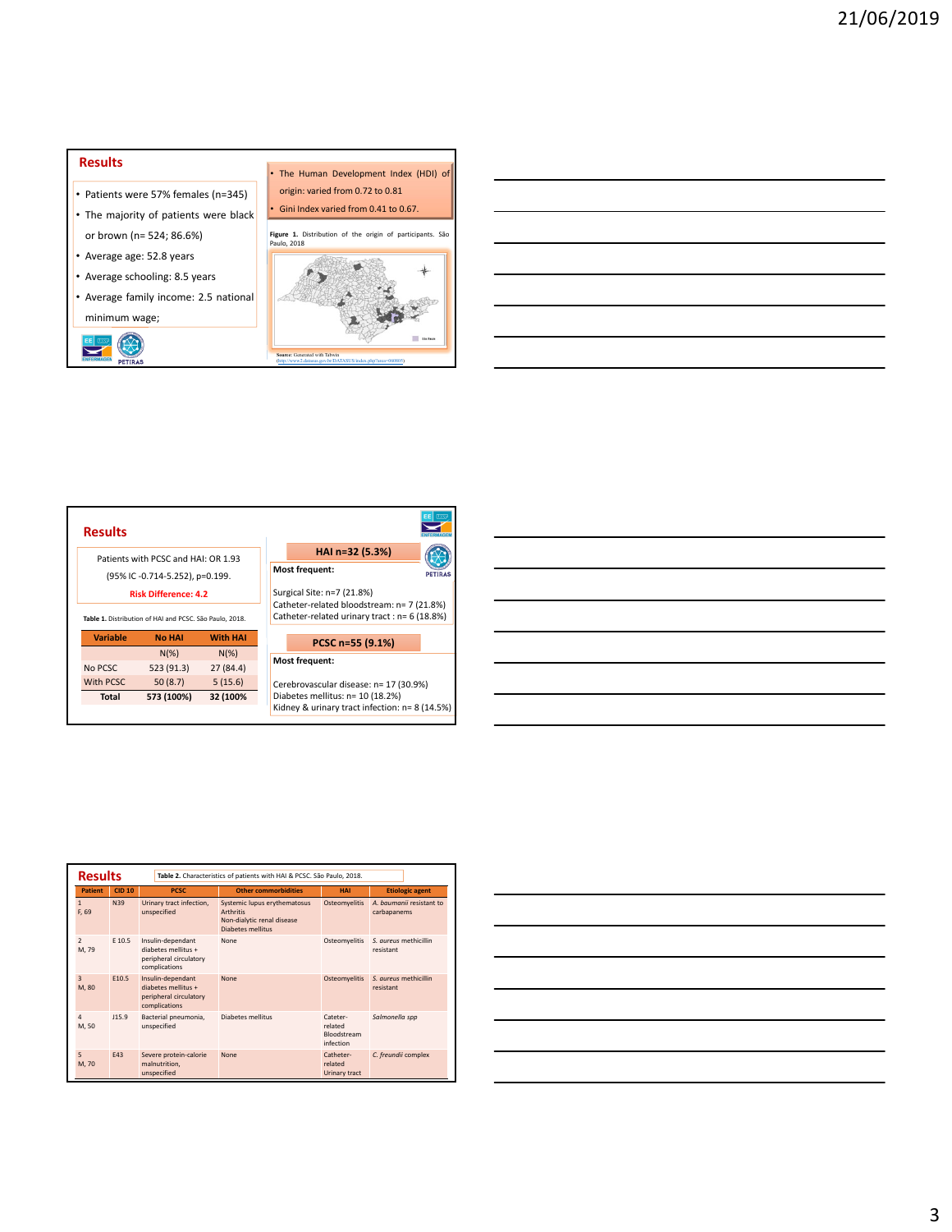## **Results**

- Patients were 57% females (n=345)
- The majority of patients were black or brown (n= 524; 86.6%)
- Average age: 52.8 years
- Average schooling: 8.5 years

EL LUST CO.

• Average family income: 2.5 national minimum wage;



• The Human Development Index (HDI) of origin: varied from 0.72 to 0.81

| <b>Results</b>                                                        |                                                                                        |                     | EE                                                                                                                       |  |  |
|-----------------------------------------------------------------------|----------------------------------------------------------------------------------------|---------------------|--------------------------------------------------------------------------------------------------------------------------|--|--|
| Patients with PCSC and HAI: OR 1.93<br>(95% IC-0.714-5.252), p=0.199. |                                                                                        |                     | HAI n=32 (5.3%)<br><b>Most frequent:</b><br><b>PETIRAS</b>                                                               |  |  |
|                                                                       | <b>Risk Difference: 4.2</b><br>Table 1. Distribution of HAI and PCSC. São Paulo, 2018. |                     | Surgical Site: n=7 (21.8%)<br>Catheter-related bloodstream: n= 7 (21.8%)<br>Catheter-related urinary tract: n= 6 (18.8%) |  |  |
| <b>Variable</b>                                                       | <b>No HAI</b>                                                                          | <b>With HAI</b>     | PCSC n=55 (9.1%)                                                                                                         |  |  |
| No PCSC                                                               | $N(\%)$<br>523 (91.3)                                                                  | $N(\%)$<br>27(84.4) | <b>Most frequent:</b>                                                                                                    |  |  |
| With PCSC                                                             | 50(8.7)                                                                                | 5(15.6)             | Cerebrovascular disease: n= 17 (30.9%)                                                                                   |  |  |
| <b>Total</b>                                                          | 573 (100%)                                                                             | 32 (100%            | Diabetes mellitus: n= 10 (18.2%)<br>Kidney & urinary tract infection: n= 8 (14.5%)                                       |  |  |

|                                   | <b>Results</b><br>Table 2. Characteristics of patients with HAI & PCSC. São Paulo, 2018. |                                                                                     |                                                                                                            |                                                 |                                         |
|-----------------------------------|------------------------------------------------------------------------------------------|-------------------------------------------------------------------------------------|------------------------------------------------------------------------------------------------------------|-------------------------------------------------|-----------------------------------------|
| <b>Patient</b>                    | <b>CID 10</b>                                                                            | <b>PCSC</b>                                                                         | <b>Other commorbidities</b>                                                                                | <b>HAI</b>                                      | <b>Etiologic agent</b>                  |
| $\mathbf{1}$<br>F. 69             | N39                                                                                      | Urinary tract infection,<br>unspecified                                             | Systemic lupus erythematosus<br><b>Arthritis</b><br>Non-dialytic renal disease<br><b>Diabetes mellitus</b> | Osteomyelitis                                   | A. haumanii resistant to<br>carbapanems |
| $\overline{\phantom{a}}$<br>M, 79 | F 10.5                                                                                   | Insulin-dependant<br>diabetes mellitus +<br>peripheral circulatory<br>complications | None                                                                                                       | Osteomyelitis                                   | S. aureus methicillin<br>resistant      |
| 3<br>M, 80                        | F10.5                                                                                    | Insulin-dependant<br>diabetes mellitus +<br>peripheral circulatory<br>complications | None                                                                                                       | <b>Osteomyelitis</b>                            | S. aureus methicillin<br>resistant      |
| $\overline{A}$<br>M, 50           | 115.9                                                                                    | Bacterial pneumonia,<br>unspecified                                                 | Diabetes mellitus                                                                                          | Cateter-<br>related<br>Bloodstream<br>infection | Salmonella spp                          |
| 5<br>M, 70                        | F43                                                                                      | Severe protein-calorie<br>malnutrition,<br>unspecified                              | None                                                                                                       | Catheter-<br>related<br>Urinary tract           | C. freundii complex                     |

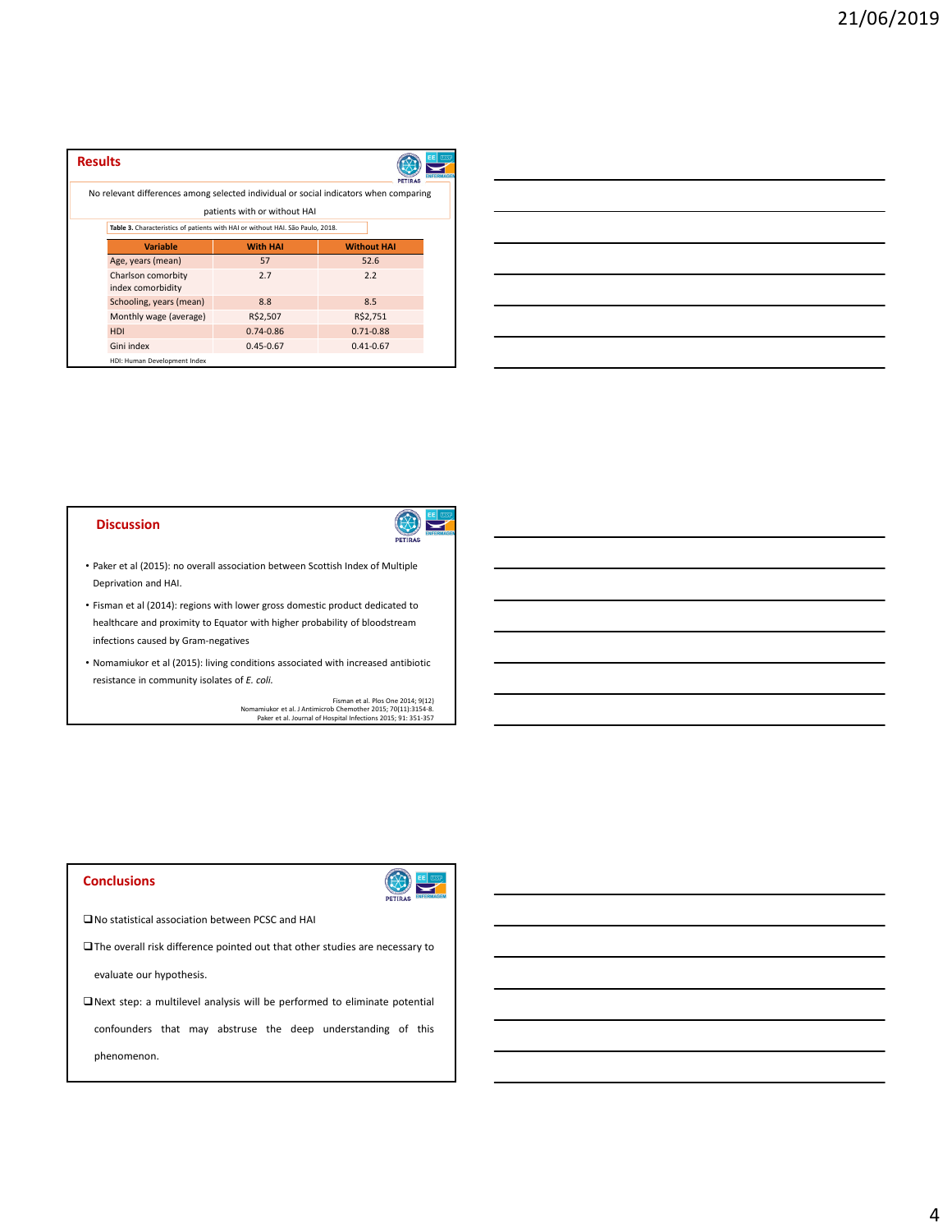| <b>Results</b>                                                                        |                              |                    | <b>PETIRAS</b> | EEl |
|---------------------------------------------------------------------------------------|------------------------------|--------------------|----------------|-----|
| No relevant differences among selected individual or social indicators when comparing |                              |                    |                |     |
|                                                                                       | patients with or without HAI |                    |                |     |
| Table 3. Characteristics of patients with HAI or without HAI. São Paulo, 2018.        |                              |                    |                |     |
| Variable                                                                              | <b>With HAI</b>              | <b>Without HAI</b> |                |     |
| Age, years (mean)                                                                     | 57                           | 52.6               |                |     |
| Charlson comorbity<br>index comorbidity                                               | 2.7                          | 2.2                |                |     |
| Schooling, years (mean)                                                               | 8.8                          | 8.5                |                |     |
| Monthly wage (average)                                                                | R\$2,507                     | R\$2,751           |                |     |
| <b>HDI</b>                                                                            | $0.74 - 0.86$                | $0.71 - 0.88$      |                |     |
| Gini index                                                                            | $0.45 - 0.67$                | $0.41 - 0.67$      |                |     |
| HDI: Human Development Index                                                          |                              |                    |                |     |

|                                                             |  | <u> 1989 - Johann Stoff, deutscher Stoff, der Stoff, der Stoff, der Stoff, der Stoff, der Stoff, der Stoff, der S</u>  |
|-------------------------------------------------------------|--|------------------------------------------------------------------------------------------------------------------------|
|                                                             |  | <u> 1989 - Johann Stoff, deutscher Stoff, der Stoff, der Stoff, der Stoff, der Stoff, der Stoff, der Stoff, der S</u>  |
|                                                             |  |                                                                                                                        |
|                                                             |  | <u> 1989 - Johann Barn, mars ann an t-Amhainn an t-Amhainn an t-Amhainn an t-Amhainn an t-Amhainn an t-Amhainn an </u> |
| <u> 1989 - Johann Stoff, amerikansk politiker (d. 1989)</u> |  | _______                                                                                                                |
|                                                             |  | ,我们也不会有什么。""我们的人,我们也不会有什么?""我们的人,我们也不会有什么?""我们的人,我们也不会有什么?""我们的人,我们也不会有什么?""我们的人                                       |
|                                                             |  |                                                                                                                        |

#### **Discussion**



- Paker et al (2015): no overall association between Scottish Index of Multiple Deprivation and HAI.
- Fisman et al (2014): regions with lower gross domestic product dedicated to healthcare and proximity to Equator with higher probability of bloodstream infections caused by Gram‐negatives
- Nomamiukor et al (2015): living conditions associated with increased antibiotic resistance in community isolates of *E. coli.*

Fisman et al. Plos One 2014; 9(12)<br>Nomamiukor et al. J Antimicrob Chemother 2015; 70(11):3154-8.<br>Paker et al. Journal of Hospital Infections 2015; 91: 351-357

### **Conclusions**



No statistical association between PCSC and HAI

The overall risk difference pointed out that other studies are necessary to

evaluate our hypothesis.

 $\Box$  Next step: a multilevel analysis will be performed to eliminate potential

confounders that may abstruse the deep understanding of this

phenomenon.